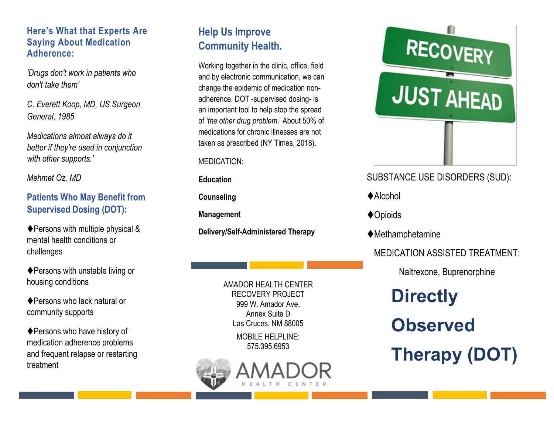#### **Here's What that Experts Are Saying About Medication Adherence:**

*'Drugs don't work in patients who don't take them'* 

*C. Everett Koop, MD, US Surgeon General, 1985*

*Medications almost always do it better if they're used in conjunction with other supports.'*

*Mehmet Oz, MD*

#### **Patients Who May Benefit from Supervised Dosing (DOT):**

◆ Persons with multiple physical & mental health conditions or challenges

◆ Persons with unstable living or housing conditions

◆ Persons who lack natural or community supports

◆ Persons who have history of medication adherence problems and frequent relapse or restarting treatment

# **Help Us Improve Community Health.**

Working together in the clinic, office, field and by electronic communication, we can change the epidemic of medication nonadherence. DOT -supervised dosing- is an important tool to help stop the spread of *'the other drug problem*.' About 50% of medications for chronic illnesses are not taken as prescribed (NY Times, 2018).

#### MEDICATION:

**Education**

**Counseling**

**Management**

**Delivery/Self-Administered Therapy**

AMADOR HEALTH CENTER RECOVERY PROJECT 999 W. Amador Ave. Annex Suite D Las Cruces, NM 88005

> MOBILE HELPLINE: 575.395.6953





# SUBSTANCE USE DISORDERS (SUD):

- $\triangle$ Alcohol
- ◆ Opioids
- Methamphetamine

## MEDICATION ASSISTED TREATMENT:

Naltrexone, Buprenorphine

# **Directly Observed Therapy (DOT)**